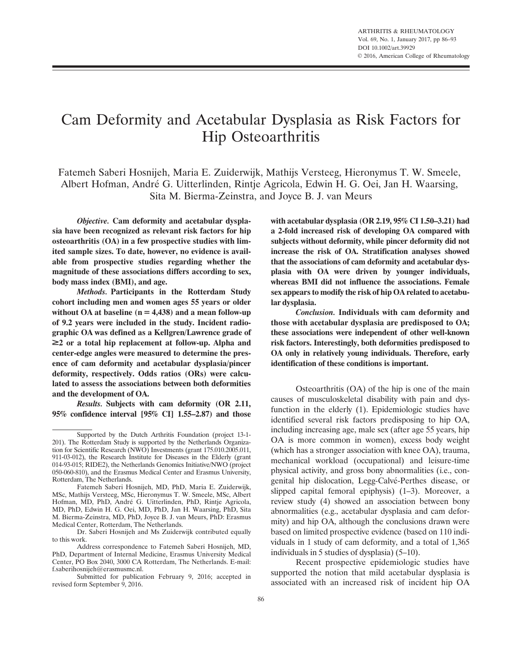# Cam Deformity and Acetabular Dysplasia as Risk Factors for Hip Osteoarthritis

Fatemeh Saberi Hosnijeh, Maria E. Zuiderwijk, Mathijs Versteeg, Hieronymus T. W. Smeele, Albert Hofman, André G. Uitterlinden, Rintje Agricola, Edwin H. G. Oei, Jan H. Waarsing, Sita M. Bierma-Zeinstra, and Joyce B. J. van Meurs

Objective. Cam deformity and acetabular dysplasia have been recognized as relevant risk factors for hip osteoarthritis (OA) in a few prospective studies with limited sample sizes. To date, however, no evidence is available from prospective studies regarding whether the magnitude of these associations differs according to sex, body mass index (BMI), and age.

Methods. Participants in the Rotterdam Study cohort including men and women ages 55 years or older without OA at baseline  $(n = 4,438)$  and a mean follow-up of 9.2 years were included in the study. Incident radiographic OA was defined as a Kellgren/Lawrence grade of  $\geq$  or a total hip replacement at follow-up. Alpha and center-edge angles were measured to determine the presence of cam deformity and acetabular dysplasia/pincer deformity, respectively. Odds ratios (ORs) were calculated to assess the associations between both deformities and the development of OA.

Results. Subjects with cam deformity (OR 2.11, 95% confidence interval [95% CI] 1.55–2.87) and those with acetabular dysplasia (OR 2.19, 95% CI 1.50–3.21) had a 2-fold increased risk of developing OA compared with subjects without deformity, while pincer deformity did not increase the risk of OA. Stratification analyses showed that the associations of cam deformity and acetabular dysplasia with OA were driven by younger individuals, whereas BMI did not influence the associations. Female sex appears to modify the risk of hip OA related to acetabular dysplasia.

Conclusion. Individuals with cam deformity and those with acetabular dysplasia are predisposed to OA; these associations were independent of other well-known risk factors. Interestingly, both deformities predisposed to OA only in relatively young individuals. Therefore, early identification of these conditions is important.

Osteoarthritis (OA) of the hip is one of the main causes of musculoskeletal disability with pain and dysfunction in the elderly (1). Epidemiologic studies have identified several risk factors predisposing to hip OA, including increasing age, male sex (after age 55 years, hip OA is more common in women), excess body weight (which has a stronger association with knee OA), trauma, mechanical workload (occupational) and leisure-time physical activity, and gross bony abnormalities (i.e., congenital hip dislocation, Legg-Calvé-Perthes disease, or slipped capital femoral epiphysis) (1–3). Moreover, a review study (4) showed an association between bony abnormalities (e.g., acetabular dysplasia and cam deformity) and hip OA, although the conclusions drawn were based on limited prospective evidence (based on 110 individuals in 1 study of cam deformity, and a total of 1,365 individuals in 5 studies of dysplasia) (5–10).

Recent prospective epidemiologic studies have supported the notion that mild acetabular dysplasia is associated with an increased risk of incident hip OA

Supported by the Dutch Arthritis Foundation (project 13-1- 201). The Rotterdam Study is supported by the Netherlands Organization for Scientific Research (NWO) Investments (grant 175.010.2005.011, 911-03-012), the Research Institute for Diseases in the Elderly (grant 014-93-015; RIDE2), the Netherlands Genomics Initiative/NWO (project 050-060-810), and the Erasmus Medical Center and Erasmus University, Rotterdam, The Netherlands.

Fatemeh Saberi Hosnijeh, MD, PhD, Maria E. Zuiderwijk, MSc, Mathijs Versteeg, MSc, Hieronymus T. W. Smeele, MSc, Albert Hofman, MD, PhD, André G. Uitterlinden, PhD, Rintje Agricola, MD, PhD, Edwin H. G. Oei, MD, PhD, Jan H. Waarsing, PhD, Sita M. Bierma-Zeinstra, MD, PhD, Joyce B. J. van Meurs, PhD: Erasmus Medical Center, Rotterdam, The Netherlands.

Dr. Saberi Hosnijeh and Ms Zuiderwijk contributed equally to this work.

Address correspondence to Fatemeh Saberi Hosnijeh, MD, PhD, Department of Internal Medicine, Erasmus University Medical Center, PO Box 2040, 3000 CA Rotterdam, The Netherlands. E-mail: f.saberihosnijeh@erasmusmc.nl.

Submitted for publication February 9, 2016; accepted in revised form September 9, 2016.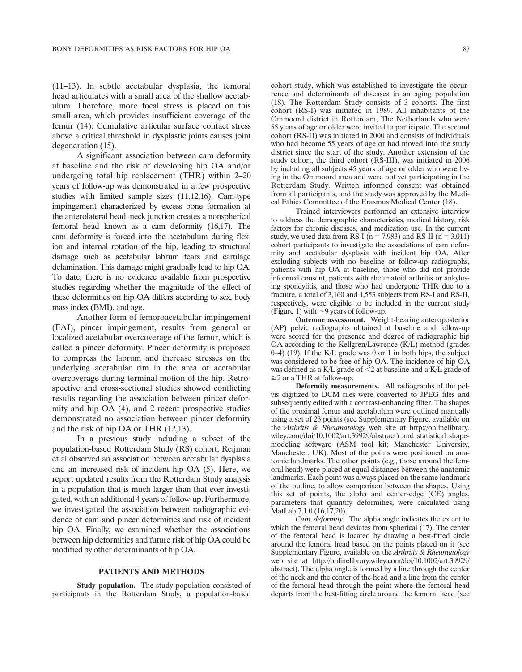(11–13). In subtle acetabular dysplasia, the femoral head articulates with a small area of the shallow acetabulum. Therefore, more focal stress is placed on this small area, which provides insufficient coverage of the femur (14). Cumulative articular surface contact stress above a critical threshold in dysplastic joints causes joint degeneration (15).

A significant association between cam deformity at baseline and the risk of developing hip OA and/or undergoing total hip replacement (THR) within 2–20 years of follow-up was demonstrated in a few prospective studies with limited sample sizes (11,12,16). Cam-type impingement characterized by excess bone formation at the anterolateral head–neck junction creates a nonspherical femoral head known as a cam deformity (16,17). The cam deformity is forced into the acetabulum during flexion and internal rotation of the hip, leading to structural damage such as acetabular labrum tears and cartilage delamination. This damage might gradually lead to hip OA. To date, there is no evidence available from prospective studies regarding whether the magnitude of the effect of these deformities on hip OA differs according to sex, body mass index (BMI), and age.

Another form of femoroacetabular impingement (FAI), pincer impingement, results from general or localized acetabular overcoverage of the femur, which is called a pincer deformity. Pincer deformity is proposed to compress the labrum and increase stresses on the underlying acetabular rim in the area of acetabular overcoverage during terminal motion of the hip. Retrospective and cross-sectional studies showed conflicting results regarding the association between pincer deformity and hip OA (4), and 2 recent prospective studies demonstrated no association between pincer deformity and the risk of hip OA or THR (12,13).

In a previous study including a subset of the population-based Rotterdam Study (RS) cohort, Reijman et al observed an association between acetabular dysplasia and an increased risk of incident hip OA (5). Here, we report updated results from the Rotterdam Study analysis in a population that is much larger than that ever investigated, with an additional 4 years of follow-up. Furthermore, we investigated the association between radiographic evidence of cam and pincer deformities and risk of incident hip OA. Finally, we examined whether the associations between hip deformities and future risk of hip OA could be modified by other determinants of hip OA.

## PATIENTS AND METHODS

Study population. The study population consisted of participants in the Rotterdam Study, a population-based cohort study, which was established to investigate the occurrence and determinants of diseases in an aging population (18). The Rotterdam Study consists of 3 cohorts. The first cohort (RS-I) was initiated in 1989. All inhabitants of the Ommoord district in Rotterdam, The Netherlands who were 55 years of age or older were invited to participate. The second cohort (RS-II) was initiated in 2000 and consists of individuals who had become 55 years of age or had moved into the study district since the start of the study. Another extension of the study cohort, the third cohort (RS-III), was initiated in 2006 by including all subjects 45 years of age or older who were living in the Ommoord area and were not yet participating in the Rotterdam Study. Written informed consent was obtained from all participants, and the study was approved by the Medical Ethics Committee of the Erasmus Medical Center (18).

Trained interviewers performed an extensive interview to address the demographic characteristics, medical history, risk factors for chronic diseases, and medication use. In the current study, we used data from RS-I ( $n = 7,983$ ) and RS-II ( $n = 3,011$ ) cohort participants to investigate the associations of cam deformity and acetabular dysplasia with incident hip OA. After excluding subjects with no baseline or follow-up radiographs, patients with hip OA at baseline, those who did not provide informed consent, patients with rheumatoid arthritis or ankylosing spondylitis, and those who had undergone THR due to a fracture, a total of 3,160 and 1,553 subjects from RS-I and RS-II, respectively, were eligible to be included in the current study (Figure 1) with  $\sim$ 9 years of follow-up.

Outcome assessment. Weight-bearing anteroposterior (AP) pelvic radiographs obtained at baseline and follow-up were scored for the presence and degree of radiographic hip OA according to the Kellgren/Lawrence (K/L) method (grades 0–4) (19). If the K/L grade was 0 or 1 in both hips, the subject was considered to be free of hip OA. The incidence of hip OA was defined as a K/L grade of  $\leq$  2 at baseline and a K/L grade of  $\geq$  2 or a THR at follow-up.

Deformity measurements. All radiographs of the pelvis digitized to DCM files were converted to JPEG files and subsequently edited with a contrast-enhancing filter. The shapes of the proximal femur and acetabulum were outlined manually using a set of 23 points (see Supplementary Figure, available on the Arthritis & Rheumatology web site at [http://onlinelibrary.](http://onlinelibrary.wiley.com/doi/10.1002/art.39929/abstract) [wiley.com/doi/10.1002/art.39929/abstract](http://onlinelibrary.wiley.com/doi/10.1002/art.39929/abstract)) and statistical shapemodeling software (ASM tool kit; Manchester University, Manchester, UK). Most of the points were positioned on anatomic landmarks. The other points (e.g., those around the femoral head) were placed at equal distances between the anatomic landmarks. Each point was always placed on the same landmark of the outline, to allow comparison between the shapes. Using this set of points, the alpha and center-edge (CE) angles, parameters that quantify deformities, were calculated using MatLab 7.1.0 (16,17,20).

Cam deformity. The alpha angle indicates the extent to which the femoral head deviates from spherical (17). The center of the femoral head is located by drawing a best-fitted circle around the femoral head based on the points placed on it (see Supplementary Figure, available on the Arthritis & Rheumatology web site at [http://onlinelibrary.wiley.com/doi/10.1002/art.39929/](http://onlinelibrary.wiley.com/doi/10.1002/art.39929/abstract) [abstract\)](http://onlinelibrary.wiley.com/doi/10.1002/art.39929/abstract). The alpha angle is formed by a line through the center of the neck and the center of the head and a line from the center of the femoral head through the point where the femoral head departs from the best-fitting circle around the femoral head (see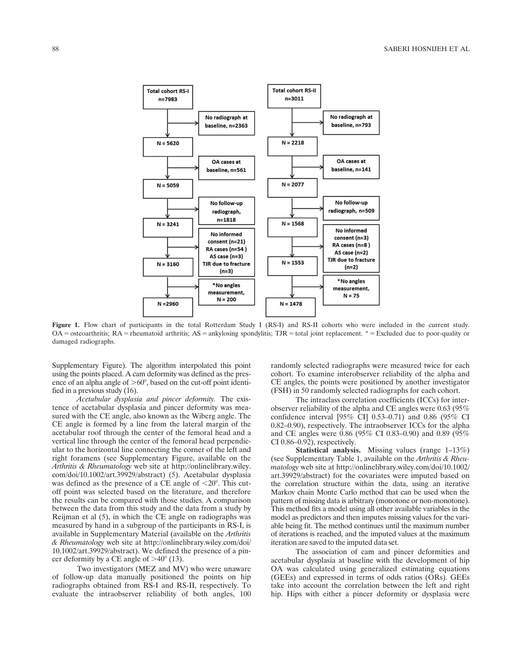

Figure 1. Flow chart of participants in the total Rotterdam Study I (RS-I) and RS-II cohorts who were included in the current study.  $OA =$  osteoarthritis;  $RA =$  rheumatoid arthritis;  $AS =$  ankylosing spondylitis;  $TJR =$  total joint replacement.  $* =$  Excluded due to poor-quality or damaged radiographs.

Supplementary Figure). The algorithm interpolated this point using the points placed. A cam deformity was defined as the presence of an alpha angle of  $>60^\circ$ , based on the cut-off point identified in a previous study (16).

Acetabular dysplasia and pincer deformity. The existence of acetabular dysplasia and pincer deformity was measured with the CE angle, also known as the Wiberg angle. The CE angle is formed by a line from the lateral margin of the acetabular roof through the center of the femoral head and a vertical line through the center of the femoral head perpendicular to the horizontal line connecting the corner of the left and right foramens (see Supplementary Figure, available on the Arthritis & Rheumatology web site at [http://onlinelibrary.wiley.](http://onlinelibrary.wiley.com/doi/10.1002/art.39929/abstract) [com/doi/10.1002/art.39929/abstract](http://onlinelibrary.wiley.com/doi/10.1002/art.39929/abstract)) (5). Acetabular dysplasia was defined as the presence of a CE angle of  $< 20^{\circ}$ . This cutoff point was selected based on the literature, and therefore the results can be compared with those studies. A comparison between the data from this study and the data from a study by Reijman et al (5), in which the CE angle on radiographs was measured by hand in a subgroup of the participants in RS-I, is available in Supplementary Material (available on the Arthritis & Rheumatology web site at [http://onlinelibrary.wiley.com/doi/](http://onlinelibrary.wiley.com/doi/10.1002/art.39929/abstract) [10.1002/art.39929/abstract\)](http://onlinelibrary.wiley.com/doi/10.1002/art.39929/abstract). We defined the presence of a pincer deformity by a CE angle of  $>40^{\circ}$  (13).

Two investigators (MEZ and MV) who were unaware of follow-up data manually positioned the points on hip radiographs obtained from RS-I and RS-II, respectively. To evaluate the intraobserver reliability of both angles, 100

randomly selected radiographs were measured twice for each cohort. To examine interobserver reliability of the alpha and CE angles, the points were positioned by another investigator (FSH) in 50 randomly selected radiographs for each cohort.

The intraclass correlation coefficients (ICCs) for interobserver reliability of the alpha and CE angles were 0.63 (95% confidence interval [95% CI] 0.53–0.71) and 0.86 (95% CI 0.82–0.90), respectively. The intraobserver ICCs for the alpha and CE angles were 0.86 (95% CI 0.83–0.90) and 0.89 (95% CI 0.86–0.92), respectively.

Statistical analysis. Missing values (range 1–13%) (see Supplementary Table 1, available on the Arthritis & Rheumatology web site at [http://onlinelibrary.wiley.com/doi/10.1002/](http://onlinelibrary.wiley.com/doi/10.1002/art.39929/abstract) [art.39929/abstract](http://onlinelibrary.wiley.com/doi/10.1002/art.39929/abstract)) for the covariates were imputed based on the correlation structure within the data, using an iterative Markov chain Monte Carlo method that can be used when the pattern of missing data is arbitrary (monotone or non-monotone). This method fits a model using all other available variables in the model as predictors and then imputes missing values for the variable being fit. The method continues until the maximum number of iterations is reached, and the imputed values at the maximum iteration are saved to the imputed data set.

The association of cam and pincer deformities and acetabular dysplasia at baseline with the development of hip OA was calculated using generalized estimating equations (GEEs) and expressed in terms of odds ratios (ORs). GEEs take into account the correlation between the left and right hip. Hips with either a pincer deformity or dysplasia were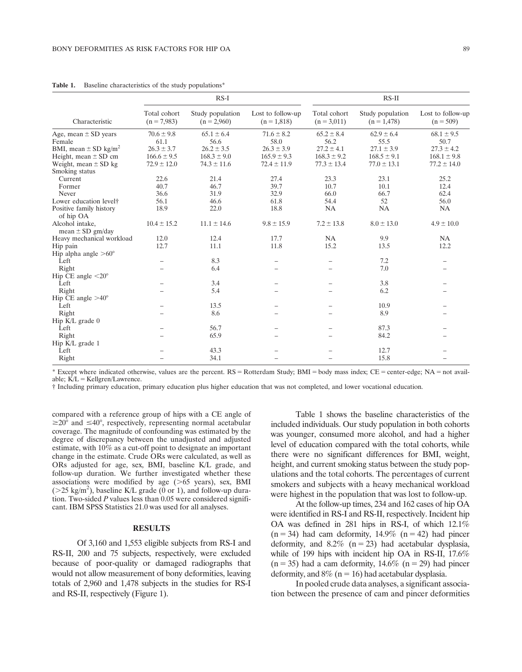|                                         | $RS-I$                        |                                   |                                    | RS-II                         |                                   |                                  |
|-----------------------------------------|-------------------------------|-----------------------------------|------------------------------------|-------------------------------|-----------------------------------|----------------------------------|
| Characteristic                          | Total cohort<br>$(n = 7,983)$ | Study population<br>$(n = 2,960)$ | Lost to follow-up<br>$(n = 1,818)$ | Total cohort<br>$(n = 3.011)$ | Study population<br>$(n = 1,478)$ | Lost to follow-up<br>$(n = 509)$ |
| Age, mean $\pm$ SD years                | $70.6 \pm 9.8$                | $65.1 \pm 6.4$                    | $71.6 \pm 8.2$                     | $65.2 \pm 8.4$                | $62.9 \pm 6.4$                    | $68.1 \pm 9.5$                   |
| Female                                  | 61.1                          | 56.6                              | 58.0                               | 56.2                          | 55.5                              | 50.7                             |
| BMI, mean $\pm$ SD kg/m <sup>2</sup>    | $26.3 \pm 3.7$                | $26.2 \pm 3.5$                    | $26.3 \pm 3.9$                     | $27.2 \pm 4.1$                | $27.1 \pm 3.9$                    | $27.3 \pm 4.2$                   |
| Height, mean $\pm$ SD cm                | $166.6 \pm 9.5$               | $168.3 \pm 9.0$                   | $165.9 \pm 9.3$                    | $168.3 \pm 9.2$               | $168.5 \pm 9.1$                   | $168.1 \pm 9.8$                  |
| Weight, mean $\pm$ SD kg                | $72.9 \pm 12.0$               | $74.3 \pm 11.6$                   | $72.4 \pm 11.9$                    | $77.3 \pm 13.4$               | $77.0 \pm 13.1$                   | $77.2 \pm 14.0$                  |
| Smoking status                          |                               |                                   |                                    |                               |                                   |                                  |
| Current                                 | 22.6                          | 21.4                              | 27.4                               | 23.3                          | 23.1                              | 25.2                             |
| Former                                  | 40.7                          | 46.7                              | 39.7                               | 10.7                          | 10.1                              | 12.4                             |
| Never                                   | 36.6                          | 31.9                              | 32.9                               | 66.0                          | 66.7                              | 62.4                             |
| Lower education level <sup>†</sup>      | 56.1                          | 46.6                              | 61.8                               | 54.4                          | 52                                | 56.0                             |
| Positive family history<br>of hip OA    | 18.9                          | 22.0                              | 18.8                               | NA                            | <b>NA</b>                         | <b>NA</b>                        |
| Alcohol intake,<br>mean $\pm$ SD gm/day | $10.4 \pm 15.2$               | $11.1 \pm 14.6$                   | $9.8 \pm 15.9$                     | $7.2 \pm 13.8$                | $8.0 \pm 13.0$                    | $4.9 \pm 10.0$                   |
| Heavy mechanical workload               | 12.0                          | 12.4                              | 17.7                               | <b>NA</b>                     | 9.9                               | <b>NA</b>                        |
| Hip pain                                | 12.7                          | 11.1                              | 11.8                               | 15.2                          | 13.5                              | 12.2                             |
| Hip alpha angle $>60^{\circ}$           |                               |                                   |                                    |                               |                                   |                                  |
| Left                                    |                               | 8.3                               | -                                  | $\qquad \qquad$               | 7.2                               | -                                |
| Right                                   |                               | 6.4                               |                                    |                               | 7.0                               |                                  |
| Hip CE angle $\langle 20^\circ$         |                               |                                   |                                    |                               |                                   |                                  |
| Left                                    |                               | 3.4                               |                                    |                               | 3.8                               |                                  |
| Right                                   |                               | 5.4                               |                                    |                               | 6.2                               |                                  |
| Hip CE angle $>40^{\circ}$              |                               |                                   |                                    |                               |                                   |                                  |
| Left                                    |                               | 13.5                              |                                    |                               | 10.9                              |                                  |
| Right                                   |                               | 8.6                               |                                    |                               | 8.9                               |                                  |
| Hip $K/L$ grade $0$                     |                               |                                   |                                    |                               |                                   |                                  |
| Left                                    |                               | 56.7                              |                                    |                               | 87.3                              |                                  |
| Right                                   |                               | 65.9                              |                                    |                               | 84.2                              |                                  |
| Hip K/L grade 1                         |                               |                                   |                                    |                               |                                   |                                  |
| Left                                    |                               | 43.3                              |                                    |                               | 12.7                              |                                  |
| Right                                   |                               | 34.1                              |                                    |                               | 15.8                              |                                  |

Table 1. Baseline characteristics of the study populations\*

\* Except where indicated otherwise, values are the percent. RS = Rotterdam Study; BMI = body mass index; CE = center-edge; NA = not available:  $\overline{K}/L =$  Kellgren/Lawrence.

† Including primary education, primary education plus higher education that was not completed, and lower vocational education.

compared with a reference group of hips with a CE angle of  $\geq 20^{\circ}$  and  $\leq 40^{\circ}$ , respectively, representing normal acetabular coverage. The magnitude of confounding was estimated by the degree of discrepancy between the unadjusted and adjusted estimate, with 10% as a cut-off point to designate an important change in the estimate. Crude ORs were calculated, as well as ORs adjusted for age, sex, BMI, baseline K/L grade, and follow-up duration. We further investigated whether these associations were modified by age  $(>65$  years), sex, BMI  $($ >25 kg/m<sup>2</sup>), baseline K/L grade (0 or 1), and follow-up duration. Two-sided P values less than 0.05 were considered significant. IBM SPSS Statistics 21.0 was used for all analyses.

### RESULTS

Of 3,160 and 1,553 eligible subjects from RS-I and RS-II, 200 and 75 subjects, respectively, were excluded because of poor-quality or damaged radiographs that would not allow measurement of bony deformities, leaving totals of 2,960 and 1,478 subjects in the studies for RS-I and RS-II, respectively (Figure 1).

Table 1 shows the baseline characteristics of the included individuals. Our study population in both cohorts was younger, consumed more alcohol, and had a higher level of education compared with the total cohorts, while there were no significant differences for BMI, weight, height, and current smoking status between the study populations and the total cohorts. The percentages of current smokers and subjects with a heavy mechanical workload were highest in the population that was lost to follow-up.

At the follow-up times, 234 and 162 cases of hip OA were identified in RS-I and RS-II, respectively. Incident hip OA was defined in 281 hips in RS-I, of which 12.1%  $(n = 34)$  had cam deformity, 14.9%  $(n = 42)$  had pincer deformity, and  $8.2\%$  (n = 23) had acetabular dysplasia, while of 199 hips with incident hip OA in RS-II, 17.6%  $(n = 35)$  had a cam deformity, 14.6%  $(n = 29)$  had pincer deformity, and  $8\%$  (n = 16) had acetabular dysplasia.

In pooled crude data analyses, a significant association between the presence of cam and pincer deformities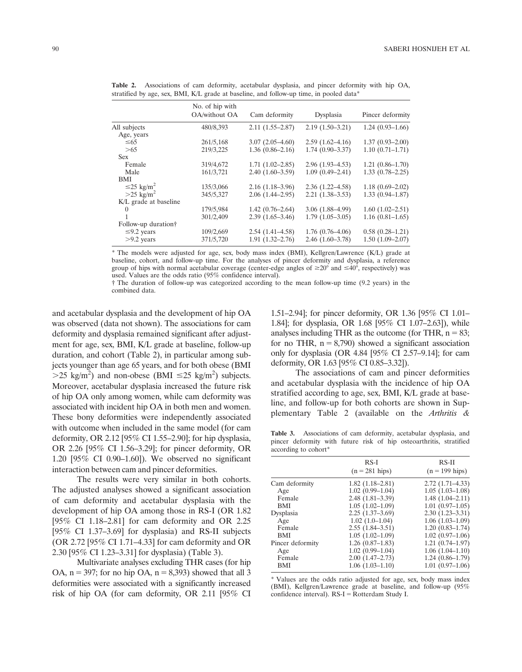Table 2. Associations of cam deformity, acetabular dysplasia, and pincer deformity with hip OA, stratified by age, sex, BMI, K/L grade at baseline, and follow-up time, in pooled data\*

|                             | No. of hip with<br>OA/without OA | Cam deformity       | Dysplasia           | Pincer deformity    |
|-----------------------------|----------------------------------|---------------------|---------------------|---------------------|
| All subjects                | 480/8,393                        | $2.11(1.55 - 2.87)$ | $2.19(1.50-3.21)$   | $1.24(0.93-1.66)$   |
| Age, years                  |                                  |                     |                     |                     |
| $\leq 65$                   | 261/5,168                        | $3.07(2.05-4.60)$   | $2.59(1.62 - 4.16)$ | $1.37(0.93 - 2.00)$ |
| >65                         | 219/3,225                        | $1.36(0.86-2.16)$   | $1.74(0.90-3.37)$   | $1.10(0.71 - 1.71)$ |
| <b>Sex</b>                  |                                  |                     |                     |                     |
| Female                      | 319/4,672                        | $1.71(1.02 - 2.85)$ | $2.96(1.93-4.53)$   | $1.21(0.86-1.70)$   |
| Male                        | 161/3,721                        | $2.40(1.60-3.59)$   | $1.09(0.49 - 2.41)$ | $1.33(0.78-2.25)$   |
| BMI                         |                                  |                     |                     |                     |
| $\leq$ 25 kg/m <sup>2</sup> | 135/3,066                        | $2.16(1.18-3.96)$   | $2.36(1.22 - 4.58)$ | $1.18(0.69 - 2.02)$ |
| $>25 \text{ kg/m}^2$        | 345/5,327                        | $2.06(1.44 - 2.95)$ | $2.21(1.38-3.53)$   | $1.33(0.94 - 1.87)$ |
| K/L grade at baseline       |                                  |                     |                     |                     |
|                             | 179/5,984                        | $1.42(0.76-2.64)$   | $3.06(1.88-4.99)$   | $1.60(1.02 - 2.51)$ |
|                             | 301/2,409                        | $2.39(1.65-3.46)$   | $1.79(1.05-3.05)$   | $1.16(0.81-1.65)$   |
| Follow-up duration          |                                  |                     |                     |                     |
| $\leq$ 9.2 years            | 109/2,669                        | $2.54(1.41-4.58)$   | $1.76(0.76-4.06)$   | $0.58(0.28-1.21)$   |
| $>9.2$ years                | 371/5,720                        | $1.91(1.32 - 2.76)$ | $2.46(1.60-3.78)$   | $1.50(1.09-2.07)$   |

\* The models were adjusted for age, sex, body mass index (BMI), Kellgren/Lawrence (K/L) grade at baseline, cohort, and follow-up time. For the analyses of pincer deformity and dysplasia, a reference group of hips with normal acetabular coverage (center-edge angles of  $\geq 20^{\circ}$  and  $\leq 40^{\circ}$ , respectively) was used. Values are the odds ratio (95% confidence interval).

† The duration of follow-up was categorized according to the mean follow-up time (9.2 years) in the combined data.

and acetabular dysplasia and the development of hip OA was observed (data not shown). The associations for cam deformity and dysplasia remained significant after adjustment for age, sex, BMI, K/L grade at baseline, follow-up duration, and cohort (Table 2), in particular among subjects younger than age 65 years, and for both obese (BMI  $>$ 25 kg/m<sup>2</sup>) and non-obese (BMI  $\leq$ 25 kg/m<sup>2</sup>) subjects. Moreover, acetabular dysplasia increased the future risk of hip OA only among women, while cam deformity was associated with incident hip OA in both men and women. These bony deformities were independently associated with outcome when included in the same model (for cam deformity, OR 2.12 [95% CI 1.55–2.90]; for hip dysplasia, OR 2.26 [95% CI 1.56–3.29]; for pincer deformity, OR 1.20 [95% CI 0.90–1.60]). We observed no significant interaction between cam and pincer deformities.

The results were very similar in both cohorts. The adjusted analyses showed a significant association of cam deformity and acetabular dysplasia with the development of hip OA among those in RS-I (OR 1.82 [95% CI 1.18–2.81] for cam deformity and OR 2.25 [95% CI 1.37–3.69] for dysplasia) and RS-II subjects (OR 2.72 [95% CI 1.71–4.33] for cam deformity and OR 2.30 [95% CI 1.23–3.31] for dysplasia) (Table 3).

Multivariate analyses excluding THR cases (for hip OA,  $n = 397$ ; for no hip OA,  $n = 8,393$ ) showed that all 3 deformities were associated with a significantly increased risk of hip OA (for cam deformity, OR 2.11 [95% CI

1.51–2.94]; for pincer deformity, OR 1.36 [95% CI 1.01– 1.84]; for dysplasia, OR 1.68 [95% CI 1.07–2.63]), while analyses including THR as the outcome (for THR,  $n = 83$ ; for no THR,  $n = 8,790$ ) showed a significant association only for dysplasia (OR 4.84 [95% CI 2.57–9.14]; for cam deformity, OR 1.63 [95% CI 0.85–3.32]).

The associations of cam and pincer deformities and acetabular dysplasia with the incidence of hip OA stratified according to age, sex, BMI, K/L grade at baseline, and follow-up for both cohorts are shown in Supplementary Table 2 (available on the Arthritis &

Table 3. Associations of cam deformity, acetabular dysplasia, and pincer deformity with future risk of hip osteoarthritis, stratified according to cohort\*

|                                                                                                                               | $RS-I$<br>$(n = 281$ hips)                                                                                                                                                                                                                 | $RS-II$<br>$(n = 199$ hips)                                                                                                                                                                                                                 |
|-------------------------------------------------------------------------------------------------------------------------------|--------------------------------------------------------------------------------------------------------------------------------------------------------------------------------------------------------------------------------------------|---------------------------------------------------------------------------------------------------------------------------------------------------------------------------------------------------------------------------------------------|
| Cam deformity<br>Age<br>Female<br><b>BMI</b><br>Dysplasia<br>Age<br>Female<br><b>BMI</b><br>Pincer deformity<br>Age<br>Female | $1.82(1.18-2.81)$<br>$1.02(0.99-1.04)$<br>$2.48(1.81 - 3.39)$<br>$1.05(1.02 - 1.09)$<br>$2.25(1.37-3.69)$<br>$1.02(1.0-1.04)$<br>$2.55(1.84 - 3.51)$<br>$1.05(1.02 - 1.09)$<br>$1.26(0.87-1.83)$<br>$1.02(0.99-1.04)$<br>$2.00(1.47-2.73)$ | $2.72(1.71-4.33)$<br>$1.05(1.03-1.08)$<br>$1.48(1.04 - 2.11)$<br>$1.01(0.97-1.05)$<br>$2.30(1.23 - 3.31)$<br>$1.06(1.03-1.09)$<br>$1.20(0.83 - 1.74)$<br>$1.02(0.97-1.06)$<br>$1.21(0.74 - 1.97)$<br>$1.06(1.04-1.10)$<br>$1.24(0.86-1.79)$ |
| <b>BMI</b>                                                                                                                    | $1.06(1.03-1.10)$                                                                                                                                                                                                                          | $1.01(0.97-1.06)$                                                                                                                                                                                                                           |

\* Values are the odds ratio adjusted for age, sex, body mass index (BMI), Kellgren/Lawrence grade at baseline, and follow-up (95% confidence interval).  $RS-I = Rotterdam$  Study I.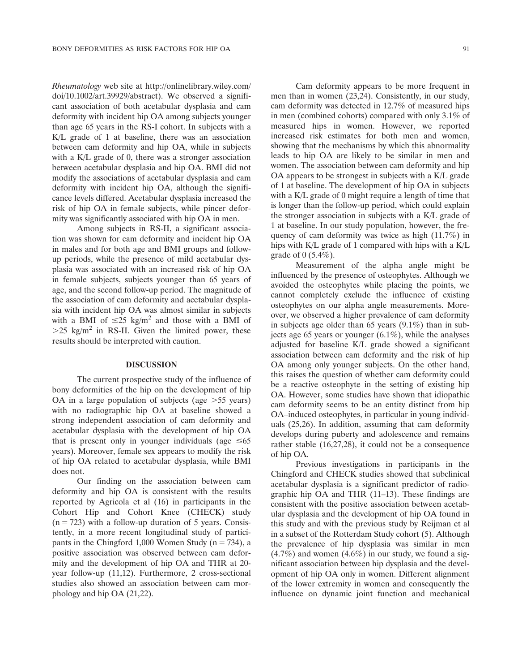Rheumatology web site at [http://onlinelibrary.wiley.com/](http://onlinelibrary.wiley.com/doi/10.1002/art.39929/abstract) [doi/10.1002/art.39929/abstract\)](http://onlinelibrary.wiley.com/doi/10.1002/art.39929/abstract). We observed a significant association of both acetabular dysplasia and cam deformity with incident hip OA among subjects younger than age 65 years in the RS-I cohort. In subjects with a K/L grade of 1 at baseline, there was an association between cam deformity and hip OA, while in subjects with a K/L grade of 0, there was a stronger association between acetabular dysplasia and hip OA. BMI did not modify the associations of acetabular dysplasia and cam deformity with incident hip OA, although the significance levels differed. Acetabular dysplasia increased the risk of hip OA in female subjects, while pincer deformity was significantly associated with hip OA in men.

Among subjects in RS-II, a significant association was shown for cam deformity and incident hip OA in males and for both age and BMI groups and followup periods, while the presence of mild acetabular dysplasia was associated with an increased risk of hip OA in female subjects, subjects younger than 65 years of age, and the second follow-up period. The magnitude of the association of cam deformity and acetabular dysplasia with incident hip OA was almost similar in subjects with a BMI of  $\leq 25$  kg/m<sup>2</sup> and those with a BMI of  $>25$  kg/m<sup>2</sup> in RS-II. Given the limited power, these results should be interpreted with caution.

#### DISCUSSION

The current prospective study of the influence of bony deformities of the hip on the development of hip OA in a large population of subjects (age  $>55$  years) with no radiographic hip OA at baseline showed a strong independent association of cam deformity and acetabular dysplasia with the development of hip OA that is present only in younger individuals (age  $\leq 65$ ) years). Moreover, female sex appears to modify the risk of hip OA related to acetabular dysplasia, while BMI does not.

Our finding on the association between cam deformity and hip OA is consistent with the results reported by Agricola et al (16) in participants in the Cohort Hip and Cohort Knee (CHECK) study  $(n = 723)$  with a follow-up duration of 5 years. Consistently, in a more recent longitudinal study of participants in the Chingford 1,000 Women Study ( $n = 734$ ), a positive association was observed between cam deformity and the development of hip OA and THR at 20 year follow-up (11,12). Furthermore, 2 cross-sectional studies also showed an association between cam morphology and hip OA (21,22).

Cam deformity appears to be more frequent in men than in women (23,24). Consistently, in our study, cam deformity was detected in 12.7% of measured hips in men (combined cohorts) compared with only 3.1% of measured hips in women. However, we reported increased risk estimates for both men and women, showing that the mechanisms by which this abnormality leads to hip OA are likely to be similar in men and women. The association between cam deformity and hip OA appears to be strongest in subjects with a K/L grade of 1 at baseline. The development of hip OA in subjects with a K/L grade of 0 might require a length of time that is longer than the follow-up period, which could explain the stronger association in subjects with a K/L grade of 1 at baseline. In our study population, however, the frequency of cam deformity was twice as high (11.7%) in hips with K/L grade of 1 compared with hips with a K/L grade of  $0$  (5.4%).

Measurement of the alpha angle might be influenced by the presence of osteophytes. Although we avoided the osteophytes while placing the points, we cannot completely exclude the influence of existing osteophytes on our alpha angle measurements. Moreover, we observed a higher prevalence of cam deformity in subjects age older than 65 years (9.1%) than in subjects age 65 years or younger (6.1%), while the analyses adjusted for baseline K/L grade showed a significant association between cam deformity and the risk of hip OA among only younger subjects. On the other hand, this raises the question of whether cam deformity could be a reactive osteophyte in the setting of existing hip OA. However, some studies have shown that idiopathic cam deformity seems to be an entity distinct from hip OA–induced osteophytes, in particular in young individuals (25,26). In addition, assuming that cam deformity develops during puberty and adolescence and remains rather stable (16,27,28), it could not be a consequence of hip OA.

Previous investigations in participants in the Chingford and CHECK studies showed that subclinical acetabular dysplasia is a significant predictor of radiographic hip OA and THR (11–13). These findings are consistent with the positive association between acetabular dysplasia and the development of hip OA found in this study and with the previous study by Reijman et al in a subset of the Rotterdam Study cohort (5). Although the prevalence of hip dysplasia was similar in men  $(4.7\%)$  and women  $(4.6\%)$  in our study, we found a significant association between hip dysplasia and the development of hip OA only in women. Different alignment of the lower extremity in women and consequently the influence on dynamic joint function and mechanical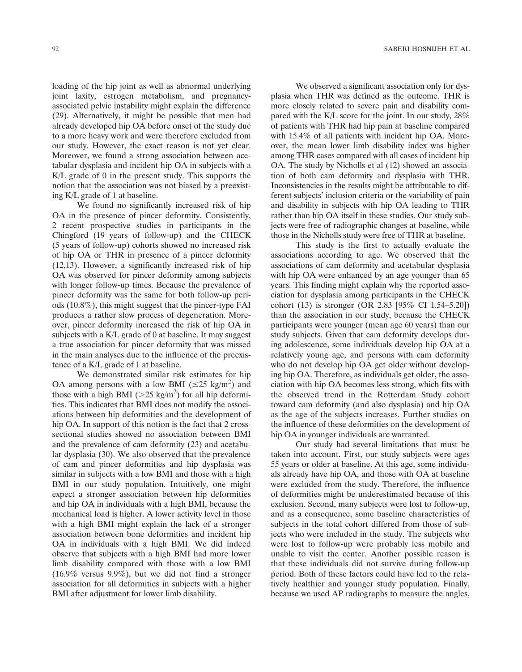loading of the hip joint as well as abnormal underlying joint laxity, estrogen metabolism, and pregnancyassociated pelvic instability might explain the difference (29). Alternatively, it might be possible that men had already developed hip OA before onset of the study due to a more heavy work and were therefore excluded from our study. However, the exact reason is not yet clear. Moreover, we found a strong association between acetabular dysplasia and incident hip OA in subjects with a K/L grade of 0 in the present study. This supports the notion that the association was not biased by a preexisting K/L grade of 1 at baseline.

We found no significantly increased risk of hip OA in the presence of pincer deformity. Consistently, 2 recent prospective studies in participants in the Chingford (19 years of follow-up) and the CHECK (5 years of follow-up) cohorts showed no increased risk of hip OA or THR in presence of a pincer deformity (12,13). However, a significantly increased risk of hip OA was observed for pincer deformity among subjects with longer follow-up times. Because the prevalence of pincer deformity was the same for both follow-up periods (10.8%), this might suggest that the pincer-type FAI produces a rather slow process of degeneration. Moreover, pincer deformity increased the risk of hip OA in subjects with a K/L grade of 0 at baseline. It may suggest a true association for pincer deformity that was missed in the main analyses due to the influence of the preexistence of a K/L grade of 1 at baseline.

We demonstrated similar risk estimates for hip OA among persons with a low BMI ( $\leq$ 25 kg/m<sup>2</sup>) and those with a high BMI ( $>25$  kg/m<sup>2</sup>) for all hip deformities. This indicates that BMI does not modify the associations between hip deformities and the development of hip OA. In support of this notion is the fact that 2 crosssectional studies showed no association between BMI and the prevalence of cam deformity (23) and acetabular dysplasia (30). We also observed that the prevalence of cam and pincer deformities and hip dysplasia was similar in subjects with a low BMI and those with a high BMI in our study population. Intuitively, one might expect a stronger association between hip deformities and hip OA in individuals with a high BMI, because the mechanical load is higher. A lower activity level in those with a high BMI might explain the lack of a stronger association between bone deformities and incident hip OA in individuals with a high BMI. We did indeed observe that subjects with a high BMI had more lower limb disability compared with those with a low BMI (16.9% versus 9.9%), but we did not find a stronger association for all deformities in subjects with a higher BMI after adjustment for lower limb disability.

We observed a significant association only for dysplasia when THR was defined as the outcome. THR is more closely related to severe pain and disability compared with the K/L score for the joint. In our study, 28% of patients with THR had hip pain at baseline compared with 15.4% of all patients with incident hip OA. Moreover, the mean lower limb disability index was higher among THR cases compared with all cases of incident hip OA. The study by Nicholls et al (12) showed an association of both cam deformity and dysplasia with THR. Inconsistencies in the results might be attributable to different subjects' inclusion criteria or the variability of pain and disability in subjects with hip OA leading to THR rather than hip OA itself in these studies. Our study subjects were free of radiographic changes at baseline, while those in the Nicholls study were free of THR at baseline.

This study is the first to actually evaluate the associations according to age. We observed that the associations of cam deformity and acetabular dysplasia with hip OA were enhanced by an age younger than 65 years. This finding might explain why the reported association for dysplasia among participants in the CHECK cohort (13) is stronger (OR 2.83 [95% CI 1.54–5.20]) than the association in our study, because the CHECK participants were younger (mean age 60 years) than our study subjects. Given that cam deformity develops during adolescence, some individuals develop hip OA at a relatively young age, and persons with cam deformity who do not develop hip OA get older without developing hip OA. Therefore, as individuals get older, the association with hip OA becomes less strong, which fits with the observed trend in the Rotterdam Study cohort toward cam deformity (and also dysplasia) and hip OA as the age of the subjects increases. Further studies on the influence of these deformities on the development of hip OA in younger individuals are warranted.

Our study had several limitations that must be taken into account. First, our study subjects were ages 55 years or older at baseline. At this age, some individuals already have hip OA, and those with OA at baseline were excluded from the study. Therefore, the influence of deformities might be underestimated because of this exclusion. Second, many subjects were lost to follow-up, and as a consequence, some baseline characteristics of subjects in the total cohort differed from those of subjects who were included in the study. The subjects who were lost to follow-up were probably less mobile and unable to visit the center. Another possible reason is that these individuals did not survive during follow-up period. Both of these factors could have led to the relatively healthier and younger study population. Finally, because we used AP radiographs to measure the angles,